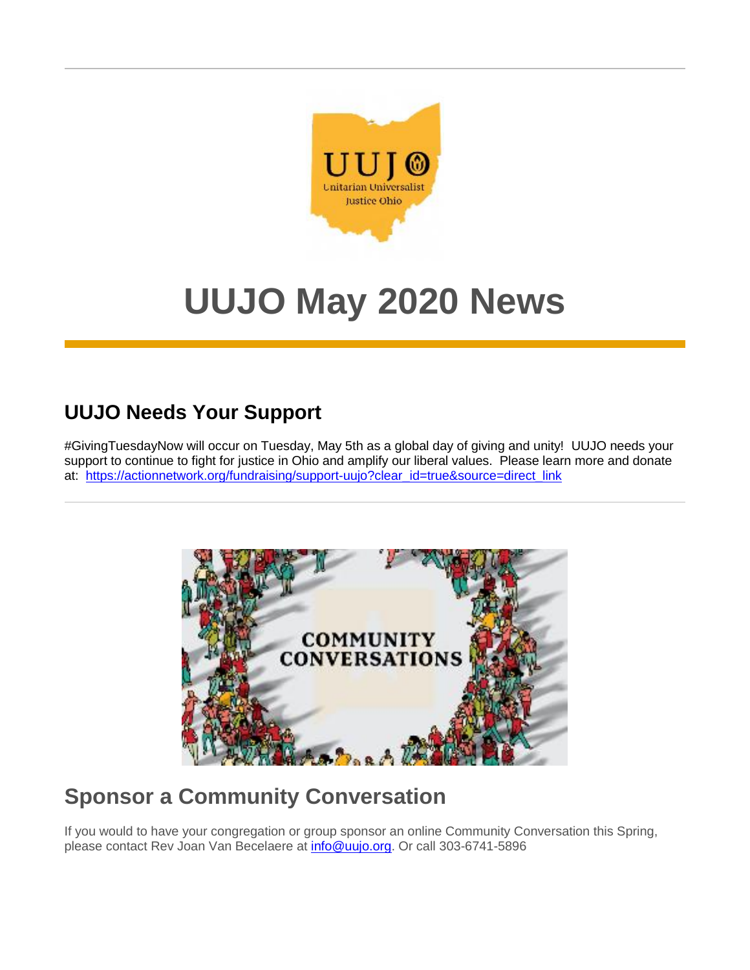

# **UUJO May 2020 News**

## **UUJO Needs Your Support**

#GivingTuesdayNow will occur on Tuesday, May 5th as a global day of giving and unity! UUJO needs your support to continue to fight for justice in Ohio and amplify our liberal values. Please learn more and donate at: [https://actionnetwork.org/fundraising/support-uujo?clear\\_id=true&source=direct\\_link](https://u1584542.ct.sendgrid.net/mps2/c/FwE/ni0YAA/t.31f/n1K8vLO2T-ikaXaTYAtwVg/h0/CA0gLXQEKb6jqGkD7RqZidtyroHL9tHkah7c3h40C4z7NtZ6RASjMj5ejEUpVFGfWExZrcL52CywoPw3Soaz7WXhaYBkeivCsOh9YRwKQHBz0oUoQVZQpImsGYCdttsx6Uwr0t-2B4sQOXM3I9auyYRRB-2BveqDugTQDKz3sNu6lJvgEhCA6bewNpnTC5Xj5bvriBhG6asIWawdMJU57q7sJ4jnZfVJu5waAh8VUfHqyM6tmeLWnclerbB2ZMbPV-2BC1YD-2FiI9VDCfxwI4C-2BnAheS8l4xmaAGAmNuGpQaAa4uFk-3D/OPvl)



# **Sponsor a Community Conversation**

If you would to have your congregation or group sponsor an online Community Conversation this Spring, please contact Rev Joan Van Becelaere at **info@uujo.org**. Or call 303-6741-5896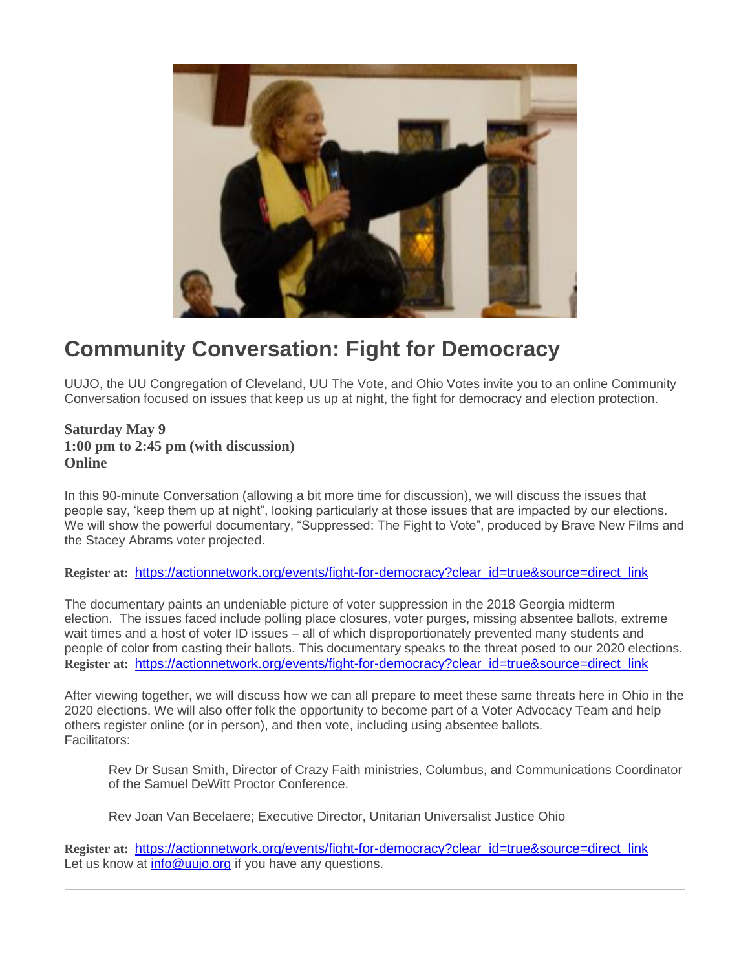

### **Community Conversation: Fight for Democracy**

UUJO, the UU Congregation of Cleveland, UU The Vote, and Ohio Votes invite you to an online Community Conversation focused on issues that keep us up at night, the fight for democracy and election protection.

#### **Saturday May 9 1:00 pm to 2:45 pm (with discussion) Online**

In this 90-minute Conversation (allowing a bit more time for discussion), we will discuss the issues that people say, 'keep them up at night", looking particularly at those issues that are impacted by our elections. We will show the powerful documentary, "Suppressed: The Fight to Vote", produced by Brave New Films and the Stacey Abrams voter projected.

#### **Register at:** [https://actionnetwork.org/events/fight-for-democracy?clear\\_id=true&source=direct\\_link](https://u1584542.ct.sendgrid.net/mps2/c/FwE/ni0YAA/t.31f/n1K8vLO2T-ikaXaTYAtwVg/h1/CA0gLXQEKb6jqGkD7RqZieSiR1xt6h2zAPrrZKB7vwluOoWuNJavxTGyY6plsMSwJH8ojnBcPLEUCtbRUbYZwAsdnfqt33jJnM3ytvKYVRHw6kkWUG4POE2qrre3e4EOSp-2BHT9QiAkjIwmXVFhnO0LrKgavAJI1G-2B-2Fy5iJ4APpWZAGlsMuatr4taMsu7-2B-2FVIHT62N6TIcYqOsdZ7O45JwymIFBy4pfa78ZtpzcDBGveP0rlkthmuKtWgHp98Ij-2BpPQkmeL9kSQc0BgbvoYgYVTdN3JtMT8JUR6TkvAmaU7Q-3D/1FrR)

The documentary paints an undeniable picture of voter suppression in the 2018 Georgia midterm election. The issues faced include polling place closures, voter purges, missing absentee ballots, extreme wait times and a host of voter ID issues – all of which disproportionately prevented many students and people of color from casting their ballots. This documentary speaks to the threat posed to our 2020 elections. **Register at:** [https://actionnetwork.org/events/fight-for-democracy?clear\\_id=true&source=direct\\_link](https://u1584542.ct.sendgrid.net/mps2/c/FwE/ni0YAA/t.31f/n1K8vLO2T-ikaXaTYAtwVg/h2/CA0gLXQEKb6jqGkD7RqZieSiR1xt6h2zAPrrZKB7vwluOoWuNJavxTGyY6plsMSwJH8ojnBcPLEUCtbRUbYZwAsdnfqt33jJnM3ytvKYVRFnpbuygilMTnpCAj2Bb4P7-2Fb6TRCeb9ore0103UR1tWTD9-2FT9DqbWQEuZEethg0Yu4jPUpKt8t00vEhBpbMAFNMqv2fjha8fnolBaVxV7-2F9FLzmKant9SbibHLQlAN8VNtsUkoD4L9F07FrAhy-2FIfXO510Ki01lPWBIU5mTbdznePBDTLGJapxTrF02QglKoI-3D/lUJd)

After viewing together, we will discuss how we can all prepare to meet these same threats here in Ohio in the 2020 elections. We will also offer folk the opportunity to become part of a Voter Advocacy Team and help others register online (or in person), and then vote, including using absentee ballots. Facilitators:

Rev Dr Susan Smith, Director of Crazy Faith ministries, Columbus, and Communications Coordinator of the Samuel DeWitt Proctor Conference.

Rev Joan Van Becelaere; Executive Director, Unitarian Universalist Justice Ohio

**Register at:** [https://actionnetwork.org/events/fight-for-democracy?clear\\_id=true&source=direct\\_link](https://u1584542.ct.sendgrid.net/mps2/c/FwE/ni0YAA/t.31f/n1K8vLO2T-ikaXaTYAtwVg/h3/CA0gLXQEKb6jqGkD7RqZieSiR1xt6h2zAPrrZKB7vwluOoWuNJavxTGyY6plsMSwJH8ojnBcPLEUCtbRUbYZwAsdnfqt33jJnM3ytvKYVRFgQVtWsy5jU4ndAtFqWtfj1EYmpTQt-2BLmEx1j2MKEW2JRw3JpWhfY4ZgVyCp1Qsh52NGGv4tKQjoj54mu0CcPs3qX3mh3MYMPAEKqfNUzf33n7v3PHof9Lnx6N01qjU7Ese9KDZE3R2MeE6HzoYKXGrcXdFyizDk6XnJgxnW3aS7OHHBlwx29pgjNi-2Bp4VUQM-3D/peXO) Let us know at [info@uujo.org](mailto:info@uujo.org) if you have any questions.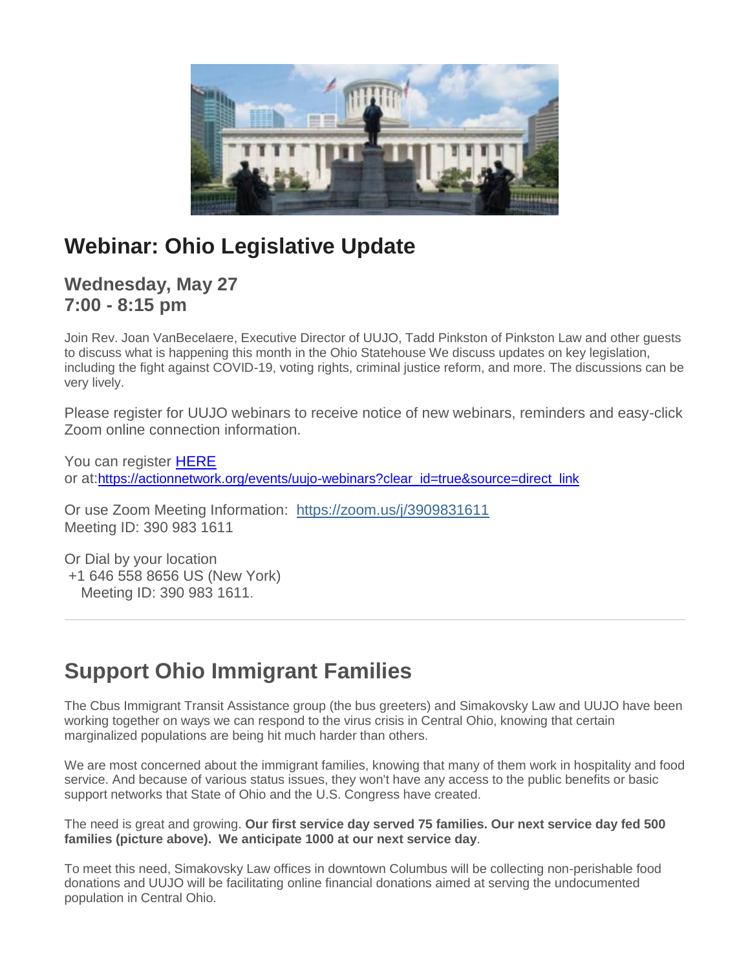

# **Webinar: Ohio Legislative Update**

### **Wednesday, May 27 7:00 - 8:15 pm**

Join Rev. Joan VanBecelaere, Executive Director of UUJO, Tadd Pinkston of Pinkston Law and other guests to discuss what is happening this month in the Ohio Statehouse We discuss updates on key legislation, including the fight against COVID-19, voting rights, criminal justice reform, and more. The discussions can be very lively.

Please register for UUJO webinars to receive notice of new webinars, reminders and easy-click Zoom online connection information.

You can register **HERE** or at:[https://actionnetwork.org/events/uujo-webinars?clear\\_id=true&source=direct\\_link](https://u1584542.ct.sendgrid.net/mps2/c/FwE/ni0YAA/t.31f/n1K8vLO2T-ikaXaTYAtwVg/h5/CA0gLXQEKb6jqGkD7RqZieSiR1xt6h2zAPrrZKB7vwlge2eamiMTMiZOcnpBpP-2BJE-2BGbwz65HEAPE9oZB5M0XOQrEumuIUMgOrTpU2aufEK-2BOtSygLhbVtoywFGDZoUWbXyIjibsMmiB0bJep2zMMlI5nI34s-2FZfmhPvTgtC549wzdKFS8Mt4L34lJ4ALX-2FmqtmopDTLc0zFLyHfTqMVDh97dJFUn3H-2FZO-2FvcjBp2q-2B32t7YGkP4Ysn4fEkqnro-2Fjmm4cGjBp5hgJmm9w0ACa02RRv-2BYwl3YDDLjoxxNIp4-3D/U05a)

Or use Zoom Meeting Information: [https://zoom.us/j/3909831611](https://u1584542.ct.sendgrid.net/mps2/c/FwE/ni0YAA/t.31f/n1K8vLO2T-ikaXaTYAtwVg/h6/OMqVwN4xNkvSR-2FWqj-2FZ30loGkxw3wDz5Q-2BZ9bVk0dwkFut2qPtnR7q9xyUvbAbHivJT-2FA5RtlbsWTxVN2UH54kDMJoT1r-2FEfs3KU-2FLRPP1ZxYpdjfs-2FUZIrm3anTdfQ5erSD-2BG7MizrJV9Y9YGjY5aAKQIILmkh-2By6rXhoe9Gt-2BuBHgm9wuKDfjxt1pbPO-2BSye6GpNABT8kyixNmuPPq7IKh6VpNRaMNBXvOY21w2sQt4ouKonqxUN-2FVm9q5dzVzqsf-2FJR1YtB1eC8LHcc3j8g-3D-3D/10k6) Meeting ID: 390 983 1611

Or Dial by your location +1 646 558 8656 US (New York) Meeting ID: 390 983 1611.

# **Support Ohio Immigrant Families**

The Cbus Immigrant Transit Assistance group (the bus greeters) and Simakovsky Law and UUJO have been working together on ways we can respond to the virus crisis in Central Ohio, knowing that certain marginalized populations are being hit much harder than others.

We are most concerned about the immigrant families, knowing that many of them work in hospitality and food service. And because of various status issues, they won't have any access to the public benefits or basic support networks that State of Ohio and the U.S. Congress have created.

The need is great and growing. **Our first service day served 75 families. Our next service day fed 500 families (picture above). We anticipate 1000 at our next service day**.

To meet this need, Simakovsky Law offices in downtown Columbus will be collecting non-perishable food donations and UUJO will be facilitating online financial donations aimed at serving the undocumented population in Central Ohio.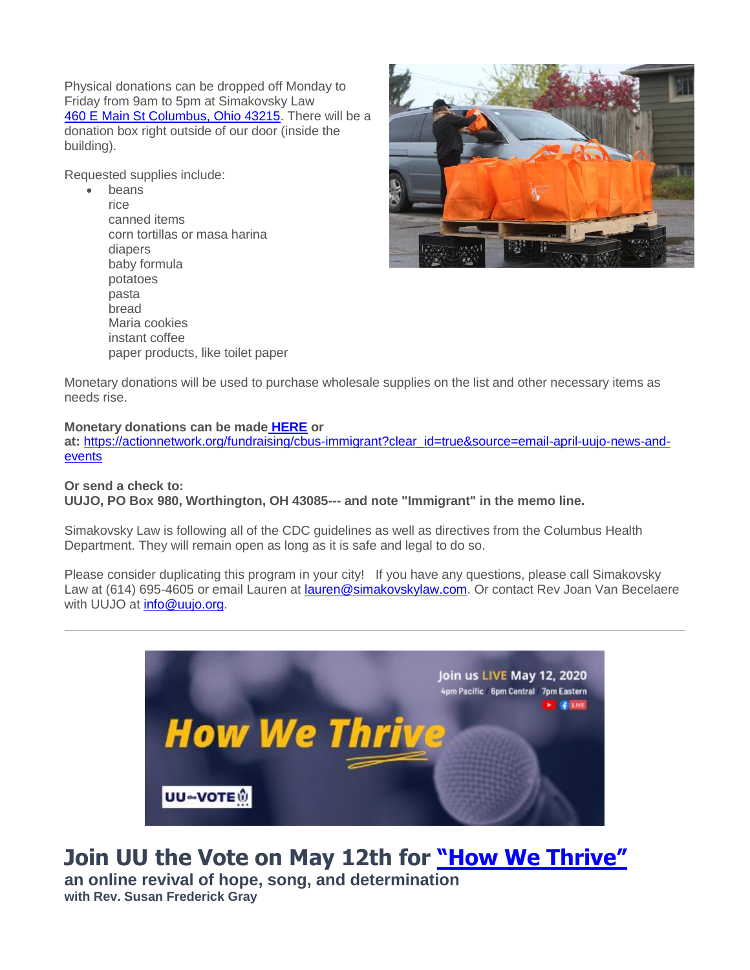Physical donations can be dropped off Monday to Friday from 9am to 5pm at Simakovsky Law [460 E Main St Columbus, Ohio 43215.](https://www.google.com/maps/search/460+E+Main+St+Columbus,+Ohio+43215?entry=gmail&source=g) There will be a donation box right outside of our door (inside the building).

Requested supplies include:

• beans rice canned items corn tortillas or masa harina diapers baby formula potatoes pasta bread Maria cookies instant coffee paper products, like toilet paper



Monetary donations will be used to purchase wholesale supplies on the list and other necessary items as needs rise.

#### **Monetary donations can be made [HERE](https://u1584542.ct.sendgrid.net/mps2/c/FwE/ni0YAA/t.31f/n1K8vLO2T-ikaXaTYAtwVg/h7/CA0gLXQEKb6jqGkD7RqZidtyroHL9tHkah7c3h40C4x9p920raJBNpIFxXbh2QYQPdD0wIhP23LtkYIX9vgx96jtEOrHdv1RFoCgCA6j6lK-2FRqgSxicArFpOY3XfiKR80OgtdLZhucArDrjLz6cczLr2NRodx7kMP9I7n3wkVhyugxi15rdSRRjPlJd92b5u-2B1fcB59yZOM6itNJKz0FIm90YsGLsvSU7j-2BssWO38Q71EMZ61umnvMOGThAAHkBBNeOMRj979yDR1XnQLSOqfwI5h6VwICs-2F4QBd5yOepg34sw-2BhCECWVEX1eEjk7ljw/28Fr) or**

**at:** [https://actionnetwork.org/fundraising/cbus-immigrant?clear\\_id=true&source=email-april-uujo-news-and](https://u1584542.ct.sendgrid.net/mps2/c/FwE/ni0YAA/t.31f/n1K8vLO2T-ikaXaTYAtwVg/h8/CA0gLXQEKb6jqGkD7RqZidtyroHL9tHkah7c3h40C4x9p920raJBNpIFxXbh2QYQPdD0wIhP23LtkYIX9vgx96jtEOrHdv1RFoCgCA6j6lK-2FRqgSxicArFpOY3XfiKR80OgtdLZhucArDrjLz6cczC54Oig4csIxpQc-2FtyQ9R7w1CFXyZhDs3lz-2BVzn7DpfReKgncbJsoEYYLcVoI2ZLJnjPedUyZHNp819v8-2F9gyYNVqb7QjBIbL1llytPlBZdASwV9EaOIDe8TG11TjpHUt1oPDgCfTIdOMjgQ3Dv759MNX87n7UqpuLz-2FzxJnuCgu/RBr1)[events](https://u1584542.ct.sendgrid.net/mps2/c/FwE/ni0YAA/t.31f/n1K8vLO2T-ikaXaTYAtwVg/h8/CA0gLXQEKb6jqGkD7RqZidtyroHL9tHkah7c3h40C4x9p920raJBNpIFxXbh2QYQPdD0wIhP23LtkYIX9vgx96jtEOrHdv1RFoCgCA6j6lK-2FRqgSxicArFpOY3XfiKR80OgtdLZhucArDrjLz6cczC54Oig4csIxpQc-2FtyQ9R7w1CFXyZhDs3lz-2BVzn7DpfReKgncbJsoEYYLcVoI2ZLJnjPedUyZHNp819v8-2F9gyYNVqb7QjBIbL1llytPlBZdASwV9EaOIDe8TG11TjpHUt1oPDgCfTIdOMjgQ3Dv759MNX87n7UqpuLz-2FzxJnuCgu/RBr1)

#### **Or send a check to: UUJO, PO Box 980, Worthington, OH 43085--- and note "Immigrant" in the memo line.**

Simakovsky Law is following all of the CDC guidelines as well as directives from the Columbus Health Department. They will remain open as long as it is safe and legal to do so.

Please consider duplicating this program in your city! If you have any questions, please call Simakovsky Law at (614) 695-4605 or email Lauren at [lauren@simakovskylaw.com.](mailto:lauren@simakovskylaw.com) Or contact Rev Joan Van Becelaere with UUJO at *info@uujo.org*.



# **Join UU the Vote on May 12th for ["How We Thrive"](https://u1584542.ct.sendgrid.net/mps2/c/FwE/ni0YAA/t.31f/n1K8vLO2T-ikaXaTYAtwVg/h9/chXoYYN-2BwwURsmrZn5WSvAm52YpshkTmfsvHcGkZkdpIG3LzXPstc1q9AIOiebSL5HPe4l37R0r3jU-2BmZKLp6nQP-2FSQtWqHddcZLn-2BD2JtTuulVu31894gX1RCXRcTaVBIuFAdYmeF5sT6TH1JM81kWWPJXoDVcD9FMohJQVEsCgYstkUakwWgLJO4-2F8lipxHiLp0EckG-2F9InB2KwG-2BBri-2BYXZztOY5omT9iWTu-2BpFo-2FLkhNuooJak9iHqo7Nq8YvIa2yAKG71IrjHceFowhz8TLEl5rIBLHcXLEzokDdulnu3ThUoDF9hCOxrd-2BkfOsNyIfvJ0LqLj3zoM6Cdw8KQoiSf4ZAu2ya6wuaXRGC23eAHdyaOtNwHlTPXtKtHeIr0YC644mYuzAksRK5zzi3Y6B8TieIxljBvI9I1a369dvYfJTPhwBcIun-2FP9etCWlyuHyVGFRg9tfJ0-2FD2fkS7ECDoU8G6r5Fmax6BEanL4jh7QAwqGwIgon5uoXusxwAuKLgEpO-2BVctn3dQkTOT8KOxcIQpqjEDRLD-2BRontY6Rx8Ji3G5RAPpqBF-2FwJ4XMN20cl33dSlnE5ApF24nmjGT0EJJpINkxuQzbdjIMmbIFOeECnKEVg-2FNTrojh8lFHIwnlZZc-2BmMvOfr2UoOdLkG14wxuVXDu2J8ojVbsvka8CDJh1wF5gbvIxKgvhNwVqx921iXa6fXvmaWZlXlgkHxvtdSkTJ7rfH4DFCr-2F4APIRjiWBgbqhbsHgGZS8s6lEnwG7-2F3gXoIWt285-2FEePdEnrfxyz47Vfm6yBi9ucXP7vmk-3D/cTXJ)**

**an online revival of hope, song, and determination with Rev. Susan Frederick Gray**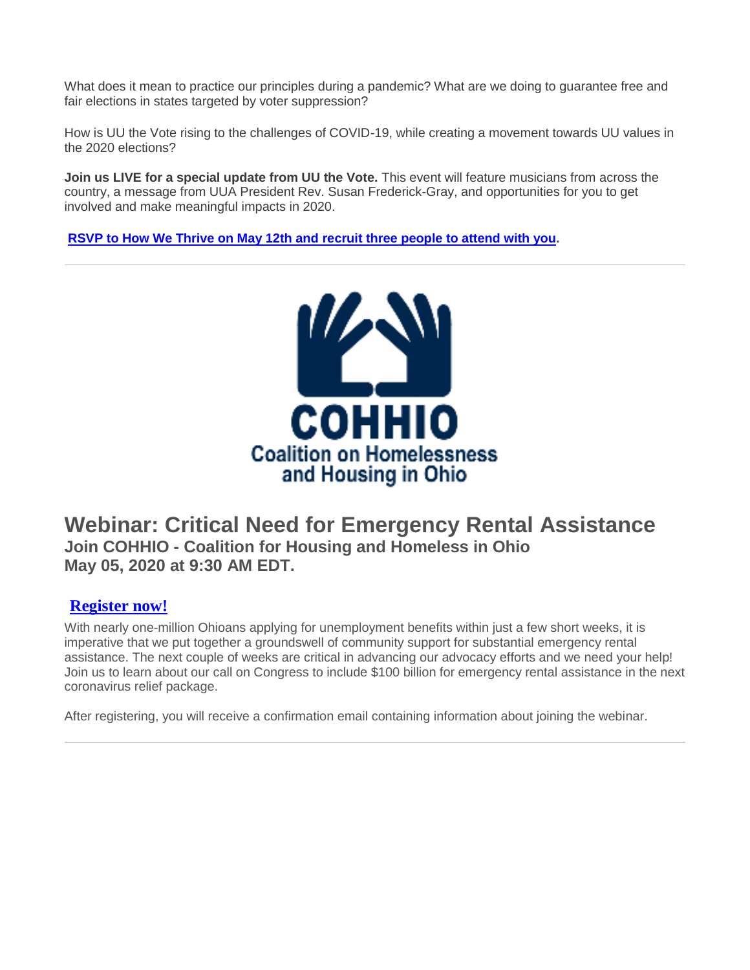What does it mean to practice our principles during a pandemic? What are we doing to guarantee free and fair elections in states targeted by voter suppression?

How is UU the Vote rising to the challenges of COVID-19, while creating a movement towards UU values in the 2020 elections?

**Join us LIVE for a special update from UU the Vote.** This event will feature musicians from across the country, a message from UUA President Rev. Susan Frederick-Gray, and opportunities for you to get involved and make meaningful impacts in 2020.

**[RSVP to How We Thrive on May 12th and recruit three people to attend with you.](https://u1584542.ct.sendgrid.net/mps2/c/FwE/ni0YAA/t.31f/n1K8vLO2T-ikaXaTYAtwVg/h10/chXoYYN-2BwwURsmrZn5WSvAm52YpshkTmfsvHcGkZkdrBI-2BL8H-2Btfieqwu0UEX6cPH4LiDu-2BsAyF7yiS32YjQuuZ7sSIakQJ-2BeAwDHemkcyOTRR7PLSjcfL-2BtGWyK81okT9BGLoAloI7-2FheN9MguAPJtqTge6ahcJ4HYJGkNc1gxErGz3BWO3dlY88mjS8Pp-2FeVBgpN-2F8cu5KBE0btQKcCv1m01rs-2FLIizl0XhT3XS7aFwfP3DI-2FP6lpUQSrHnHQyyfPStRq4OOaOtxaDAG68hfPbLTKwkGpsYlN7OdInQUDcqY9i34DbWKVW2cYsyOcqZfy6VhXd8s9yKPCnUfK58I4lMDHMMU4Jad7jEfcpPVXh2tdWFgd094JvKT4CIC7-2FxY-2FcWtIyjpkMvTWK50GpIZkleXvqJ5qGOmGivBG2KAiowJ7Tuf2PveujYWAupaa3O4CEQVh0xys9MP-2F4RkHBJ68cA40r-2BZHF4htd4AEoypgnA-2FL9BY56rs-2Fjy7WJW0t0ICxnyfWzMOjbL-2B-2F20jDfz-2BY-2FmwptPRZkapsNgALzYvm9jEdGV5pGQvU-2BqAuogVuPnUrdSV0ChX2XlgplmZlNqtA3tyVr0AFF4Zu2oIRLONTdySvIfkh-2FsCkKmJqPbpB2Vd85rYAX1wnJ1d64Mg1iRNzFXGUOwVgbFXfLVvF5PoDaOmH-2FlPJhwlxFbT-2BdKKI0xwlqLtRRgGYHqKzywnYXHQl3fzvrAusa0SkqSO5AQUYWGDilXYWAkgl8z7akyNNMcSEU-2FKKhmoOl0qSde6vnmsUYfca0CC88zNpkawSzp3U-3D/Q0kZ)**



### **Webinar: Critical Need for Emergency Rental Assistance Join COHHIO - Coalition for Housing and Homeless in Ohio May 05, 2020 at 9:30 AM EDT.**

#### **[Register now!](https://u1584542.ct.sendgrid.net/mps2/c/FwE/ni0YAA/t.31f/n1K8vLO2T-ikaXaTYAtwVg/h11/P2tY5-2F8XKM3hAtjo0mNHv1uQTjp2Lox8mT61tMyhrszMDuENOipUSR5ymFYVXSuvJkCTF3H4JY3JaD7I5-2FA-2Febks-2BX4jl5Jnx-2F2hqsVn6Kdd86wlvpiuLrxGqq5LEGSOtNXHrgceLC71U-2FhxuRM4aTY8zIzzqSBnRZumSUfayUl5EDURMQ3CFtBAUtiwCdtqRFCC2Nmrl38wEWTgXC9RxR4IVYYVfqC0-2F1GuL7QaHef5-2BgSRJJvoWX-2BqIk6cTR-2BmdRcpIgiqVIOb7FtiuhWN-2Fh226OkzuNgTWwTVu9HnZLaCINvZugv2pX1yi8EQ0yhV9pOr-2F4Ex2UOu5nPClPFCDRFNnaVeDMBeYGNxtfmDw8jO4pU5V-2B4nQuXjzFA-2BT-2F3XDc9Ncw74nteqZIA5NvuRiqLZmORoWru1FfCy3EElPuU2TiFSJAvQwaaPNXtf-2FHBwQbAdkqd4Cf3R2j1nRvnyG5z3lAPQQ1Jng1-2BzK48RarR83h1aYr0QeREogmeEiNmHvRYNVG3Ev9-2BMHHuIRcWuxFakK1UmyYAIeUXT-2BiHsnXEmOH7uGogtMmog-2FiO8YeoNb43hrMCJKwX8aw9dLodVxqP1zZzfWBEqq1tE6yQL-2BZ-2BcJTI5cOXh6cuGZbj-2BbXzK19AV0U2aPS5WZWRYrPgLniuVe-2FPIOFfkp5Wn1iAOLJzNue-2BCy37earmm5i0B3wdV0hbGagk6aHrHqdsn6VhoyFVYpjuVsrRPs6XCE7ATpfuc90WuTDeBR7-2BER5jnDFXyIZQW2jzP3lNzNCIx-2Bi9rFGtLFKOL4-2BlnjVKtPJXuS5mDY0Qo3mHou-2BwmKCJkVWYIgfErzYehc97rjXe-2F2eEJr1Wkn2AsP7ucVurX63k7nOZy4eok12I8xU0338-2F-2F-2FgUanGM6aULeO-2FWOYLdifUiREX4C0GhmM-2BHeKW8Ayi74AR4w9gwdiV8Q4lg70mXY5BlNvl1Av-2FXgR0w5asuk7d-2B-2Be4yRqz8b6Fql7feL-2FSGmr9k6YhdoEQq1HYk1S6Lu1t05/Hdcq)**

With nearly one-million Ohioans applying for unemployment benefits within just a few short weeks, it is imperative that we put together a groundswell of community support for substantial emergency rental assistance. The next couple of weeks are critical in advancing our advocacy efforts and we need your help! Join us to learn about our call on Congress to include \$100 billion for emergency rental assistance in the next coronavirus relief package.

After registering, you will receive a confirmation email containing information about joining the webinar.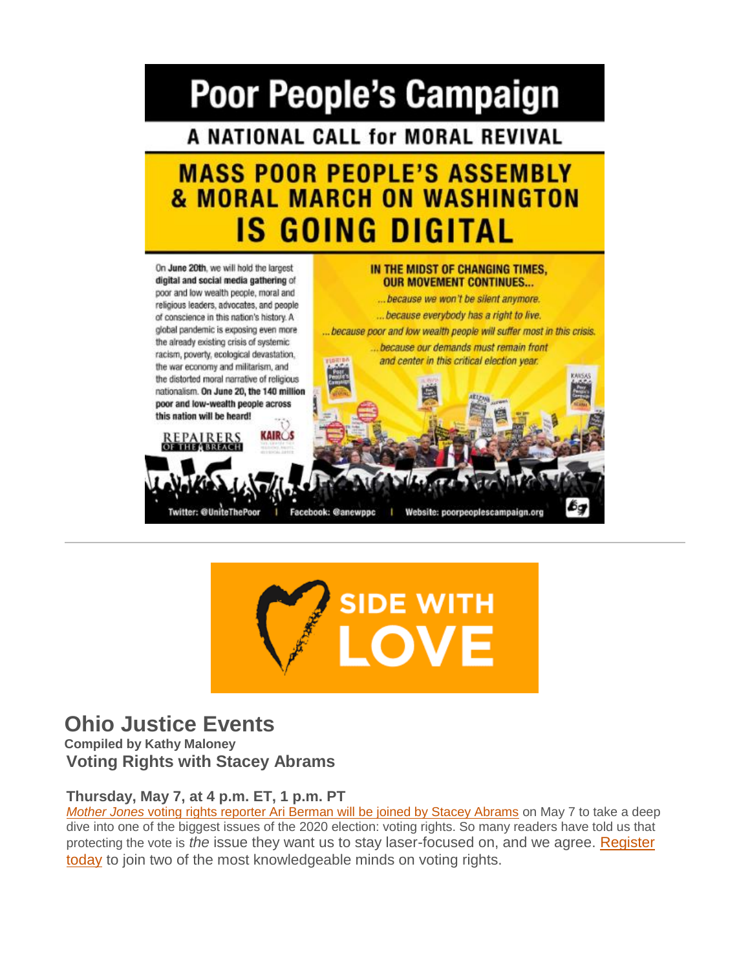# **Poor People's Campaign**

A NATIONAL CALL for MORAL REVIVAL

# **MASS POOR PEOPLE'S ASSEMBLY & MORAL MARCH ON WASHINGTON** IS GOING DIGITAL





### **Ohio Justice Events**

**Compiled by Kathy Maloney Voting Rights with Stacey Abrams**

#### **Thursday, May 7, at 4 p.m. ET, 1 p.m. PT**

*Mother Jones* [voting rights reporter Ari Berman will be joined by Stacey Abrams](https://u1584542.ct.sendgrid.net/mps2/c/FwE/ni0YAA/t.31f/n1K8vLO2T-ikaXaTYAtwVg/h12/r-2BsbEc-2FYIdk0TXBktSIePDzmLRdER2hnfZFH-2BkC4qZXZ8TMcFu-2Ft9Q-2BLhu5Gmsy8EfAsHmLGsRmGWmTPW6roxeH7huPXscTL8SN2pZyXw98vTontIVh5HzayDhNXSJ6inHvKyxRH5Y5NRG8wam09UqrQmRekkUaBDshJZNj-2B3U-2FjqA537FAco-2FFywfqNyLdSDIxU-2F6OvpGoBPZi2LcyAftOVVLoaOYLOpzJUiwFXtghz7n9mfBDtnOdZORWI2KKGx99DjQ-2FOeBNw88wUNS9xongOjpP8FiiYEIFmWXZ7YJWf5raAdJR5Gk8kYRaqoYyeN9wXabHW1aLibwRVP0HXcFohdAppR6ekxhhpmpXyhlYWrw0JanxmaEGegsRaDetICM-2FJH6kHJzqFBzEDeDAkhgyy6PN5IBZ2s3PIllxC0QY-3D/SiwU) on May 7 to take a deep dive into one of the biggest issues of the 2020 election: voting rights. So many readers have told us that protecting the vote is *the* issue they want us to stay laser-focused on, and we agree. [Register](https://u1584542.ct.sendgrid.net/mps2/c/FwE/ni0YAA/t.31f/n1K8vLO2T-ikaXaTYAtwVg/h13/r-2BsbEc-2FYIdk0TXBktSIePDzmLRdER2hnfZFH-2BkC4qZXZ8TMcFu-2Ft9Q-2BLhu5Gmsy8EfAsHmLGsRmGWmTPW6roxeH7huPXscTL8SN2pZyXw98vTontIVh5HzayDhNXSJ6inHvKyxRH5Y5NRG8wam09UqrQmRekkUaBDshJZNj-2B3U-2FjqA537FAco-2FFywfqNyLdSFhXLJk71yzZCaK1dLC2E5aiK1waOzkP7YhuRN2m9vBq62UyIR2YURGCDLyN1NImYooYlXWd0JwKdviG8-2BoRMnyqp5itF-2B367yigENwHzqzFO5CcFwT5QdCK4-2F6aHwxiBr3Jml7YHXqU0iVuW8lgf-2FYJBko-2FoG9BXKoe-2FQm5DKv5Uy2BfA9icHY6VqNRMfqKMqlkpyIkrdM4nd6yd7AATocZVb1OTczQTiBPvAWHI83M-3D/Ntkv)  [today](https://u1584542.ct.sendgrid.net/mps2/c/FwE/ni0YAA/t.31f/n1K8vLO2T-ikaXaTYAtwVg/h13/r-2BsbEc-2FYIdk0TXBktSIePDzmLRdER2hnfZFH-2BkC4qZXZ8TMcFu-2Ft9Q-2BLhu5Gmsy8EfAsHmLGsRmGWmTPW6roxeH7huPXscTL8SN2pZyXw98vTontIVh5HzayDhNXSJ6inHvKyxRH5Y5NRG8wam09UqrQmRekkUaBDshJZNj-2B3U-2FjqA537FAco-2FFywfqNyLdSFhXLJk71yzZCaK1dLC2E5aiK1waOzkP7YhuRN2m9vBq62UyIR2YURGCDLyN1NImYooYlXWd0JwKdviG8-2BoRMnyqp5itF-2B367yigENwHzqzFO5CcFwT5QdCK4-2F6aHwxiBr3Jml7YHXqU0iVuW8lgf-2FYJBko-2FoG9BXKoe-2FQm5DKv5Uy2BfA9icHY6VqNRMfqKMqlkpyIkrdM4nd6yd7AATocZVb1OTczQTiBPvAWHI83M-3D/Ntkv) to join two of the most knowledgeable minds on voting rights.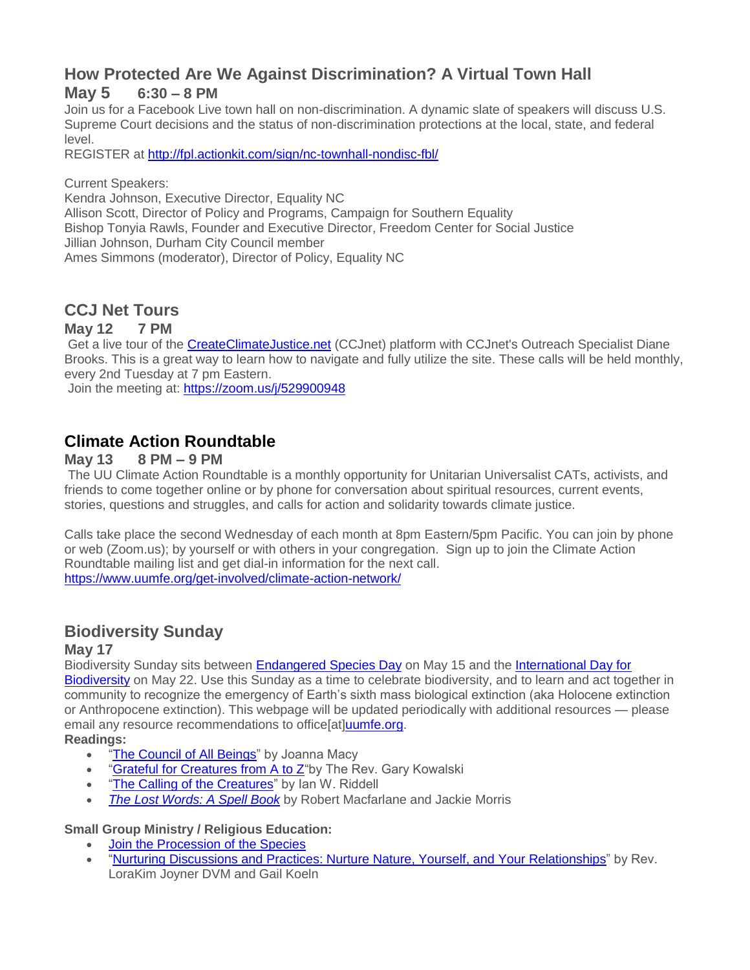#### **How Protected Are We Against Discrimination? A Virtual Town Hall May 5 6:30 – 8 PM**

Join us for a Facebook Live town hall on non-discrimination. A dynamic slate of speakers will discuss U.S. Supreme Court decisions and the status of non-discrimination protections at the local, state, and federal level.

REGISTER at [http://fpl.actionkit.com/sign/nc-townhall-nondisc-fbl/](https://u1584542.ct.sendgrid.net/mps2/c/FwE/ni0YAA/t.31f/n1K8vLO2T-ikaXaTYAtwVg/h14/lxeVZlFoLh5Xwn-2B9v7rxs5HHKTw-2BjLJxN0bPvaNSVr8T3fbanULqQsjOu0Ou2dS0nFq0VHl2iaGsNxzgTTUL4dWdPPE9qW4GXkpePVtfHXWN5umqxFqeMp2VoT4i7B1s2dFoOrubMOwTAWlD2dKs-2FBbnW8nuj6wuexu6Q68PaP575kSg4gNGn5Bt75qlVx-2F4COOiHlCLqSV-2F5qBQ-2Fp9zleIdANLGLmDjDWhxSoTfmquSfMNmG0WBOmLvjPYGG9-2FFop-2FOwcgi2GI2NXFaa9kJiEUSBaCjxZB6SOZ0a5Eq4kci1E6lJP25pd8iN8Ny8uPUtHByMJCeR5rs3nR-2BcL7RKNTlKQbfX-2BUM4CRMtIgNKmf-2BiNQVcy2zfjwtinJUO3C-2BoJ2BeuGn4ODjMtRGAFXvlA-3D-3D/nohx)

Current Speakers:

Kendra Johnson, Executive Director, Equality NC Allison Scott, Director of Policy and Programs, Campaign for Southern Equality Bishop Tonyia Rawls, Founder and Executive Director, Freedom Center for Social Justice Jillian Johnson, Durham City Council member Ames Simmons (moderator), Director of Policy, Equality NC

### **CCJ Net Tours**

#### **May 12 7 PM**

Get a live tour of the [CreateClimateJustice.net](https://u1584542.ct.sendgrid.net/mps2/c/FwE/ni0YAA/t.31f/n1K8vLO2T-ikaXaTYAtwVg/h15/5hb-2F3JdDdesnsR57qINEywP0TZDUxSohIxFZ1CUTJVKzjg-2B4stInjg2cLqY4sHE0rMNekZ9ac0kGg8Jwx9SiSMchxOBS6Q-2BtzeEV08LAsj7XKiRb-2B8aIPz3YMAqbPq-2BCerYH5WTrAqlVbpHmELpyW7-2B4ZYOULAc-2FC2E9R8IZYT0pXwxmeM0z4HRBRbiWR58AqMIwK-2BBGuDlbNIidEsuiuFfi3PwCXHfH61ZFsERtTaJ1-2FW9D-2Bx3-2F44fAhCxSIG6kBixj5qv6HxLmM6R-2BLaX9vw-3D-3D/cYUq) (CCJnet) platform with CCJnet's Outreach Specialist Diane Brooks. This is a great way to learn how to navigate and fully utilize the site. These calls will be held monthly, every 2nd Tuesday at 7 pm Eastern.

Join the meeting at: [https://zoom.us/j/529900948](https://u1584542.ct.sendgrid.net/mps2/c/FwE/ni0YAA/t.31f/n1K8vLO2T-ikaXaTYAtwVg/h16/OMqVwN4xNkvSR-2FWqj-2FZ30gsuVQCqnIOPcGt4rhqy4is1rTX4f2VMILXq8ezamnimKDy7oPsffJJDrJWTtlvb-2B-2BVm-2B5cjHUcPNr0O-2BjCyX5XEvelgrMCWwLsDGVh8xH3Hkcr2H1i-2BHiOrBAA3Xa-2BPihZB8FXWyrK5RAhgTVh4ufZKKmODgFXUZKdd5pqqzxVFfb-2B7oizkHxVmzI3dFyN0BTqORlLAIiLrLwbWuHy3Uh3sxJv4uNxQy7mDkrHsJM2BPVKjjdrC4p8RjBv2BKRrGg-3D-3D/iM7Q)

### **Climate Action Roundtable**

#### **May 13 8 PM – 9 PM**

The UU Climate Action Roundtable is a monthly opportunity for Unitarian Universalist CATs, activists, and friends to come together online or by phone for conversation about spiritual resources, current events, stories, questions and struggles, and calls for action and solidarity towards climate justice.

Calls take place the second Wednesday of each month at 8pm Eastern/5pm Pacific. You can join by phone or web (Zoom.us); by yourself or with others in your congregation. Sign up to join the Climate Action Roundtable mailing list and get dial-in information for the next call. [https://www.uumfe.org/get-involved/climate-action-network/](https://u1584542.ct.sendgrid.net/mps2/c/FwE/ni0YAA/t.31f/n1K8vLO2T-ikaXaTYAtwVg/h17/eqD2-2BE5fqN0bejgEYygU6obYQrNkq5f4fTvnCqw7lFr0EAFW3Y6fZAbV7Fn6DxuLve4x3qJ7mouzMQ1qvOm5rUD8QgBAKY-2BLuRv11F8Q51kpETdj8nA6wio5F1N5h4gaCIZXpxRHmFAXCeTKlw5b6dUM9WeTIQXiVrdwJDql6pkpxN7QbSooMBVUJ9y9Xe9JzYilFJmN0wPriu3IIPw-2B6KXjnCVlNDVz-2F8QqNcYEfOVaPXvv0amitsGUFINHrDQHbQXY445pWu2RFYgWUXJNUcb2skxKOF3ckvCFofdnI6dlze5QeVAaooinppwEf5Wc/XAP1)

### **Biodiversity Sunday**

#### **May 17**

Biodiversity Sunday sits between [Endangered Species Day](https://u1584542.ct.sendgrid.net/mps2/c/FwE/ni0YAA/t.31f/n1K8vLO2T-ikaXaTYAtwVg/h18/kRwzowfgLttwbhKi1aTlwXAmGZlI1YUZlo2HfH9iJW5gaCir7-2Bze2XwGV9JS8DGqYYBgEDlIKHMTKWG5oij4r-2Bck3e4YmvBdRM9a3AfaOByTdu32YXCGHEemjiKmTXsyA7mP0re-2B-2FQHpf5MlvyTTo-2BB9x9R-2FkB-2FXLzp44JbhVoNyuzkNTkiu4BhDrc2tpgiKz7EsNnwSj450jxRP1Vg3j2J-2FgRVYsc0ti-2FiJ0Sl7JmA7wi3-2B9hQOk7d47MROXHKPcJ4PgRuXiSiigQMGWIxptINmTM9p-2FZcpTrAgQ6Z0eiddwpQYnJwJ0FXfgmkOir5t/P2v5) on May 15 and the [International Day for](https://u1584542.ct.sendgrid.net/mps2/c/FwE/ni0YAA/t.31f/n1K8vLO2T-ikaXaTYAtwVg/h19/ruF4v0eY8FYPnGFeZoljxDL0iX4urgDqxiQf6Tsifjx7woF8vxNKqmWcFyXk6WOyMEYqhXrUcHSRc7zU4cCGtBFIBabA1NHMQhYkGPYJyaXtfw6UwvjjiynvevotXHyvWAAS3bQ9FWLdnVyzz0tkO7oAwAM5m0va1fXZudW4z54224Yd4OhkW7jGsA9wRO0KPCCpMNqdGMUaV13ck2fzhYRpsUYC2nH59nZH04iBWDcvnq2b-2BNaeEfDmXMoMlNerkOPuyhjhYkCpQdNCsf64BQ-3D-3D/kI_5)  [Biodiversity](https://u1584542.ct.sendgrid.net/mps2/c/FwE/ni0YAA/t.31f/n1K8vLO2T-ikaXaTYAtwVg/h19/ruF4v0eY8FYPnGFeZoljxDL0iX4urgDqxiQf6Tsifjx7woF8vxNKqmWcFyXk6WOyMEYqhXrUcHSRc7zU4cCGtBFIBabA1NHMQhYkGPYJyaXtfw6UwvjjiynvevotXHyvWAAS3bQ9FWLdnVyzz0tkO7oAwAM5m0va1fXZudW4z54224Yd4OhkW7jGsA9wRO0KPCCpMNqdGMUaV13ck2fzhYRpsUYC2nH59nZH04iBWDcvnq2b-2BNaeEfDmXMoMlNerkOPuyhjhYkCpQdNCsf64BQ-3D-3D/kI_5) on May 22. Use this Sunday as a time to celebrate biodiversity, and to learn and act together in community to recognize the emergency of Earth's sixth mass biological extinction (aka Holocene extinction or Anthropocene extinction). This webpage will be updated periodically with additional resources — please email any resource recommendations to office[at[\]uumfe.org.](http://uumfe.org/)

#### **Readings:**

- . ["The Council of All Beings"](https://u1584542.ct.sendgrid.net/mps2/c/FwE/ni0YAA/t.31f/n1K8vLO2T-ikaXaTYAtwVg/h20/Cck9SgkoMXFa-2BdXuTtd0gk80tdkIkJjYxiu77Bhs1z5zJd8U3CV5yEsAgM4N-2BYKjcoyBF-2Fivhv9ZMiHxYbgkfv6UTS42G80KWM5akCCiJ5yJ6umZ88FNap-2BSOFQd1t4kSwVZyLfsI9wQ8vXAn27xxVb1I4zg9Cmx-2FPrB6f-2FIxkk04vcc4KKZz48GA98KYCCfDfob7IMeWQhIk6Zh0UnXFcYM-2FFCRxBbRiRaZp8bk1GRn6mHGzOpcLpbtWcRh0Zsi1weLOtRUBnIeU35fYDuosvoL0zV6WsQNiJlmNyDDsAU4WwIrZs5l2097iLsRC8kT/a3-W) by Joanna Macy
- ["Grateful for Creatures from A to Z"](https://u1584542.ct.sendgrid.net/mps2/c/FwE/ni0YAA/t.31f/n1K8vLO2T-ikaXaTYAtwVg/h21/IOF7coPrb4aR7A6Jhna2lfuaq-2FRLlAYf6-2Fb-2BjwtRwFjTP3Sd3WkUwi2SgU2MgCT0esHHzZ9QuKs1Y9kOdICk5dV2jPSl9DPwj1qB1pVhwG1IDfublvwJsE5avVy9q2egYphPdEjjsMkEB-2FWQhGorJPwSTCXh2DSqetSP2jUtNNV019BKUkJYWg7gjn0fMRnKsfCMQ9Vq4EUE98t5lmuVo5kTAJ4bFVwsaMUS-2Bdqp2CkBZNCiRMU7vCQgCbieMqxPaP7qFjO-2BQa8uytbtHn5CbttpUGwN2aVBaW25gohYXhIaYwLGa0Fo43f4RfpXvpSUoW08PFI4NGZo-2F-2BcM62kOUA-3D-3D/phE3)by The Rev. Gary Kowalski
- ["The Calling of the Creatures"](https://u1584542.ct.sendgrid.net/mps2/c/FwE/ni0YAA/t.31f/n1K8vLO2T-ikaXaTYAtwVg/h22/IOF7coPrb4aR7A6Jhna2lfuaq-2FRLlAYf6-2Fb-2BjwtRwFhViODAghZb4o4dswzYfQSYn7QGSKJ-2FhHHswPctOMVc77jwST51PsBNomk4VnvZ3hSbGCuYt09Z5OYbRR4G2d-2FScYqHj0REiLD9Xh8V5KAayFxD8aElih0NvvFOnbTtcSv2lUID1-2Fc2LjVLD4Jup-2Frf9GQ-2FOGLFsvTtO6Rn58lQvxZsDAxmRKPeKngulYw2BlUffPzs2FY19vH-2Fl7-2F6ifBM96LzTGaOSaL-2Fq77eRljbUtDHHfAboT-2Bzl-2FDKquyBuiyRz4LvPaapQqXoEAPxaqmr/C0yh) by Ian W. Riddell
- *[The Lost Words: A Spell Book](https://u1584542.ct.sendgrid.net/mps2/c/FwE/ni0YAA/t.31f/n1K8vLO2T-ikaXaTYAtwVg/h23/Q9ifPFPfBYEgDx7LIBkPaiAxTn0sEXB7pKKD5cXqiK0u6C-2BedavbMdqdMZP7U60FFcyP-2F0-2FK-2F-2BeyVYt2Mau6SkG-2BkRTjWsPukztCnqyCt6IBF1TeD3SST6Qi3HJ-2BQ-2FPGhIbf-2FU2tf8FYt6Ln2ircgbeh2ErGXNM1yDJLYjUuFg-2BGFXL6UvQbenQ25oN-2FVrjf8-2B84tSxLMBuP55np-2BpGGCmoBLQ1VgDm-2FVCPYW-2FU0OXYWJ8FBRJiT2ame0HDEDXo5N0mARqoyjU-2FlVKKXmcstTQ-3D-3D/G95J)* by Robert Macfarlane and Jackie Morris

#### **Small Group Ministry / Religious Education:**

- [Join the Procession of the Species](https://u1584542.ct.sendgrid.net/mps2/c/FwE/ni0YAA/t.31f/n1K8vLO2T-ikaXaTYAtwVg/h24/eqD2-2BE5fqN0bejgEYygU6okVT4ctf5yBNAhylXSjK1-2F1fy0YMGJZd0MkwUEvi-2FIXkkXfaTvCHtwcP8rolPeQM-2FzTp4AIzrsKujrFuddACBs8Wgfl0fxGnRISMw5yRXQzWh7E-2BfCpdhJL1XnISJ5l-2BMqwqfuQisIsuU7hJEP3P3IR72eeDmesjpZ1g1W4p9CrEX67TJDKCkgfAjOtmgopbt8hsMLutQ4HAZ9mcNS7qxhY6adTD3UU-2B8gCvAxXyl-2Foa-2Fq0b7jECe-2B-2FxTp6VKf-2FiD4FqT0n0FdvJAjkFeA5NK7UawOblP4jl1fL4YfNkN8HmTgnLACWFYc5d-2F-2Byjm6SGA-3D-3D/31-f)
- ["Nurturing Discussions and Practices: Nurture Nature, Yourself, and Your Relationships"](https://u1584542.ct.sendgrid.net/mps2/c/FwE/ni0YAA/t.31f/n1K8vLO2T-ikaXaTYAtwVg/h25/UeqwIEt9eiKWSovpt2lTT5uULqmmABR2XmBnCZbwjGbCXNT6LXzeSNHrP6fLshFDa7XPc1CQ0cToeIsag4yAfunN1YssalFbrp-2B4Ywiec0rSiXc6chJmjIyq4GmIDU-2BIMDELMMKNse24YBHilKFwQqLQQHtZpM-2BI-2BP5fvqvH1EHJ0Zwpw8vyeDKop4CS5Y3UIvD0anfM-2Bv14ZQ-2BY3-2BibRjFkHuzps-2B3qmffHPkS-2BtBHiECOcRqva1D4TL7H9bYmuIifR5yuTQSAAkH-2FrH94opHXplD87oq9jh1FWA2SKJKwsEPk4MslVlLv07XPj3J7mcKoNyRIaAovJDYOSXb-2Fsd3RhJDDv-2FIzTU0Z5QNjvCANAcNZNVvM2tSyO5Sioh4bHL7GThnbzna0Lp-2FHEnnq8lnPWnnRstjMi4-2BTn1ZRaqrMiDtSFn6TKRNEe3Q3rp0YiGn60aM0E5fn0M-2BEBEJsj3g-3D-3D/n7Lv) by Rev. LoraKim Joyner DVM and Gail Koeln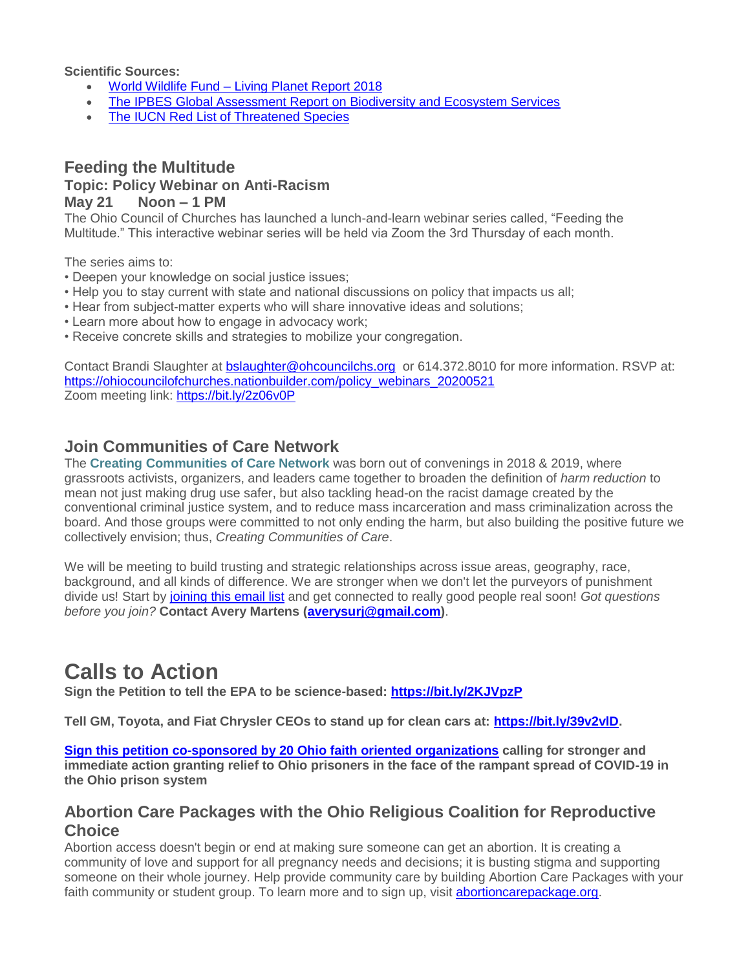**Scientific Sources:**

- World Wildlife Fund [Living Planet Report 2018](https://u1584542.ct.sendgrid.net/mps2/c/FwE/ni0YAA/t.31f/n1K8vLO2T-ikaXaTYAtwVg/h26/DwMrSAtnacmFVBNn7nRgJM7kUcouw8VgpsVfQU6jvBucjsKnnclH2mwUy0MyCevPTFU6PtzKmCBIYjCSfiyUtSXvkmxKcxRPixHqaTVXpBSBWmiE8yK4kv4OC7fsuQLb9yhT1E5XJe-2Fs4yNHdXswvKgaaFGp7iKlU3xvOEU2LAwutDYFHT3aXyy4t5oxN1PDCltmXN9lxDppE9jQYs5vhf4Y8nksHweItA3NWl15To-2FhK4GtoQQJDE5UIbEHKFd5ROp84-2F0mVZJxOKN-2F2Ma2Bbds93FZ6Pc01kxcfQRxvLqNeH-2F5i9JPflvQzrpNCvoD5aYnlFwJaFqE9xXLNv9pzg-3D-3D/pJGF)
- [The IPBES Global Assessment Report on Biodiversity and Ecosystem Services](https://u1584542.ct.sendgrid.net/mps2/c/FwE/ni0YAA/t.31f/n1K8vLO2T-ikaXaTYAtwVg/h27/4s6n0gyKbzXap-2BVRntqfcFUB9RQq4-2B9XE-2BkZrVG-2BqR29Oo7G-2FjfEiH-2FbeTB-2FZL9g0PSgjzcBvc2T7yIhMAEc0Bd29xijowcIJBy-2Bd3vhMoAWIJpfpAFKLFxd78pk0WwDXVxUeGN1AhLaGC4nXczcT-2FJYaxdSLkthETZl4ZfLfrsUj2sB1jNxpgChGmOaCU0zcUOqQrw723B5TJaKd4wDlCY2Jf3F5RrXPEyypL0e9zZV0ASV7dP6RdtWCMXgGYvbUM0OYvzCyVwL-2BNL6XUQ4jjTXtuofrRqIu4nE0qpd5HUjPQffFefU9bHIaAag35zH/zV_M)
- [The IUCN Red List of Threatened Species](https://u1584542.ct.sendgrid.net/mps2/c/FwE/ni0YAA/t.31f/n1K8vLO2T-ikaXaTYAtwVg/h28/WwaHhuxzJrk1-2F3zfa1-2F4Enrc-2BoLxNJQKXFu-2BzYEy0k3WNen4OWnMzV6V1kOn7VAmjf-2BESYmSEERvUhr1sA66FOTcKirgPoIVksl7t1-2FnXaa7cbsUabCQq9t7NwbTTTqPQoVr-2FBnN6trF4hwS-2Fy-2BKP8ShQQwKKLdTpJViFJIn2g2Qt1mUHBBxmUzQb2eodA-2BbRAEKwNbYj7IQ-2B-2FxV5-2Fg6uSg2cWLn1lE4iSYAX2Pno4lrjRrzI8hjtMWHjcSaM1dh1BxdKlvgyHVqbF4U9DejiA-3D-3D/x9zZ)

#### **Feeding the Multitude Topic: Policy Webinar on Anti-Racism May 21 Noon – 1 PM**

The Ohio Council of Churches has launched a lunch-and-learn webinar series called, "Feeding the Multitude." This interactive webinar series will be held via Zoom the 3rd Thursday of each month.

The series aims to:

- Deepen your knowledge on social justice issues;
- Help you to stay current with state and national discussions on policy that impacts us all;
- Hear from subject-matter experts who will share innovative ideas and solutions;
- Learn more about how to engage in advocacy work;
- Receive concrete skills and strategies to mobilize your congregation.

Contact Brandi Slaughter at [bslaughter@ohcouncilchs.org](mailto:bslaughter@ohcouncilchs.org) or 614.372.8010 for more information. RSVP at: [https://ohiocouncilofchurches.nationbuilder.com/policy\\_webinars\\_20200521](https://u1584542.ct.sendgrid.net/mps2/c/FwE/ni0YAA/t.31f/n1K8vLO2T-ikaXaTYAtwVg/h29/SWyuk9j0GUZqug9K8n51w4wDmOOeXgfq2z-2B4USvkdrRSPxQlePTaeYlGr8ZJHuxQof-2BpNCIbl9dOCFuP9XA302P0wPJPv6HUf4ufro5e60P7XD7UlwdcOTWPBxdAtNH-2FBHDO23davactWKVExSvU3RfP8-2BR6AiRf2RsfzcgTYoJ3taWjwgAlUAVX493u290YxWimOZ6Z3u-2Bq2e-2Bhd8Cu4OV5ekV3hTPc8Y3G9j-2FTl-2FllD7uWo9vrFKe0hIHx-2Fy5y1d6-2FvhOUdylqSCppsf7ruZ7VhaPoGhwrpqFE4M2zqkM-2FaG5Or3iFz557MhJf9Roh8Rwn1h9Xp9uHP1V9GmvzzQ-3D-3D/OyJe) Zoom meeting link: [https://bit.ly/2z06v0P](https://u1584542.ct.sendgrid.net/mps2/c/FwE/ni0YAA/t.31f/n1K8vLO2T-ikaXaTYAtwVg/h30/wCfBXW0x05rt3Y8TnORusDGT3pfr3ukBRTq-2BNBrb78-2FIPliKUUiIMnXVZSuTe5K8gkkeufA7g0684Z3HoPdSYrqz11rekHKSQMQl2m7VqERH4D7eJRK9OAp9R1Kjx-2Bw8O0uOnG3euCMokbvcFEcTrUNiYp-2BGH4KnvVSTvsRb-2BNUWbFnIeYu8kTz2bQMC53BjNVAecyWjgqt7pxS-2FsPPb7oZrKb1qDVpNQLyXaxyWqgdixukA3mK6Tm0EXFecZWvB0quK1f8ZWNvWkgVGccwpVg-3D-3D/2EVa)

#### **Join Communities of Care Network**

The **Creating Communities of Care Network** was born out of convenings in 2018 & 2019, where grassroots activists, organizers, and leaders came together to broaden the definition of *harm reduction* to mean not just making drug use safer, but also tackling head-on the racist damage created by the conventional criminal justice system, and to reduce mass incarceration and mass criminalization across the board. And those groups were committed to not only ending the harm, but also building the positive future we collectively envision; thus, *Creating Communities of Care*.

We will be meeting to build trusting and strategic relationships across issue areas, geography, race, background, and all kinds of difference. We are stronger when we don't let the purveyors of punishment divide us! Start by [joining this email list](https://u1584542.ct.sendgrid.net/mps2/c/FwE/ni0YAA/t.31f/n1K8vLO2T-ikaXaTYAtwVg/h31/1OdUHn5T9roAyjjrBcOxYVGlkkuVns-2BKnl-2F1YXHPZQyvIG-2FwUeFyg-2FP6RuFDAR24hrdWxJ7RQ1C9E-2BEKgqNF5QcyPiC1Ig1Bh7Ulb90Mr4Kkcw-2FifXx-2BY30P3J65KaK7JfOJmWBwiaSvn57xwD-2Bv5ZNcg1cnZgp5Z9FwavizHcJVvscrjlW41d8AmglvbqYRpzAx6shWq1A3knSrpcIgbbwPyW-2FzoNmbKyO8zqyCqUVl5g3Wp3M-2BKgNIRS3j18nnIomb632Adex8es8BxQnpHPwfWJXbVlF1X2JZlimvQK3GmVzfnSYPS-2FcXYH1zUpEV/G6eW) and get connected to really good people real soon! *Got questions before you join?* **Contact Avery Martens [\(averysurj@gmail.com\)](mailto:averysurj@gmail.com)**.

### **Calls to Action**

**Sign the Petition to tell the EPA to be science-based: [https://bit.ly/2KJVpzP](https://u1584542.ct.sendgrid.net/mps2/c/FwE/ni0YAA/t.31f/n1K8vLO2T-ikaXaTYAtwVg/h32/wCfBXW0x05rt3Y8TnORusIlNhucrFSJuZQofB-2BXOfwY4nK7Ua1Rtm5Pgu6wmLrhwIEPesTNL7MZXNsDtzJbbV054gmE72osNLxj30u8GD6jGYv1-2Bs9MPlr5tcGvdvKCzYTdrBfH7eAFbrGgcEiD5horSJFoOY5C2n2PVHSC1ZcCvp4QvPBIe2RVpH1Z8cUZFcPCPwYRduk6Ks9r4kCQY-2F-2F-2BYU8A4SekqheTvMsCrbUNceJldnvcuwAp8LBVV8c8-2B8-2BQsM2qea6wT09aWT3VFIQ-3D-3D/Jksd)**

**Tell GM, Toyota, and Fiat Chrysler CEOs to stand up for clean cars at: [https://bit.ly/39v2vlD.](https://u1584542.ct.sendgrid.net/mps2/c/FwE/ni0YAA/t.31f/n1K8vLO2T-ikaXaTYAtwVg/h33/emVspEJxIsD82y8igQWmN-2FikjJ4-2FB8PrfPGeIWYKCUzGME1CfhsqFmgBn1IqWAqdxfXWORIcwUJTSpmHsi2o57kbGkyAql47InsZaTqOqYIls1-2FHRXElZQu4LcXLwAmoSdgighf-2BVaB4wKKQLb8VVXiVZrIEXh9-2FhNeYMYmz6pNNc3S1c-2BXpB03kPJ-2BJ7d-2Bxl0ssum1Sp9lh-2FjH26nhAxCMwkH6nY22kjny5heyE5YTIIpGmFN5PomgLDTmOEWWZXH6g0mUTLaEvxftn4Y58pg-3D-3D/-AH4)**

**Sign this petition [co-sponsored by 20 Ohio faith oriented organizations](https://u1584542.ct.sendgrid.net/mps2/c/FwE/ni0YAA/t.31f/n1K8vLO2T-ikaXaTYAtwVg/h34/P2tY5-2F8XKM3hAtjo0mNHv1uQTjp2Lox8mT61tMyhrszHciyMeD2WT-2Fh9E2JpY-2BBSIUw8Rp2xWzftM21gMzaS2dcRrV-2F-2F5aD9CRlOl2XDfmaNDSEhuhufQosj0lUd5Kwnyy7lWvoLcvHnAVreDAV3TUYFLxh7sew8cCdFv5vYXNp57rz2EGN4J-2BN5nlO7KASGkuPtKUo0nfBYxvwaiIblyIAHY9GHvNdhTqMFCE6PXqrkVqXPEXPs-2FfTyC-2FxtrCOu9NNPkfqICBxmbZLNr83PSp3S2XISNssL-2Fnt-2Ft2zh95bbCReJsB0ET75ykeSHhIEhOvYjixwSmVva8oQh3UX-2BvcKN0aBjyKTDPljeazyqrTErd7hXMo-2FIz7lbhGmYwePy8E4kIS-2FyAd6PtU-2FAbRluDZFeIj4-2Bynh6ZT-2FiwMsdpuNmsbUnPae4rRxs4uquOcpZpImXwLN2PKX9-2BUYXFZsCgz5yobKKhh52MKJOVRLP9-2FSQVchxnTw60I6eCQCRzASHalfkWpQ7Vtuwe9lqwR9JE2rhtsJmRskzhphlJC1ZF8NFW-2BZOJylscf7MUZvxdyabYYIh1mLilXb5QNBawbgSyyaM0To-2BKO6af5E5eg59FcXNqOd4HoIGGNRO5YIDJV4mvHOYGz4DHk3tZwezymCtUoGTKtWATX-2BeHodNL3lv3C85Ecwwl1QJ0wHxz-2FjKs-2FURigteMpb-2BZXEWLzPpwK-2F3GAk7svIlZG3hVPIa9-2BhcAirSAyVnOc1wfvx-2BKFyaodQ254F-2BHINcy9eCUCa0CcDnksZScswzKf1TzJwZHUi6FH-2FBIsQ1-2FjBS54CRQpTBEczLjPMrK0LjI0pqjk2GOgsej3xsBfUeQ7xRL6pVrQvBOsEX2knRQb3nR85-2Bo6phapzD/tKTS) calling for stronger and immediate action granting relief to Ohio prisoners in the face of the rampant spread of COVID-19 in the Ohio prison system**

### **Abortion Care Packages with the Ohio Religious Coalition for Reproductive Choice**

Abortion access doesn't begin or end at making sure someone can get an abortion. It is creating a community of love and support for all pregnancy needs and decisions; it is busting stigma and supporting someone on their whole journey. Help provide community care by building Abortion Care Packages with your faith community or student group. To learn more and to sign up, visit [abortioncarepackage.org.](https://u1584542.ct.sendgrid.net/mps2/c/FwE/ni0YAA/t.31f/n1K8vLO2T-ikaXaTYAtwVg/h35/1WuDgZcbxM3Ok6o2VsQs7-2B0kL3T28zzFkPi8eLwZNpmXYlDXHBqMrKsYG1FnaTzlYYvu6a5qtsfOWrseLHQ3X9m7eYc9jLEfPLHU-2FuVgyn4a7vVP6R7DRRwL48cICG0lsFq2-2FAigH3Tg-2BJjQyQaEg21xR3RFQ281V-2BJ6sASvr26xWF9X8ocHK0ed6y-2BT8JKwjmxez6B5l7WU4S6PXE978dMOtXAJX3bFcQLtt2wTmf-2BqdlEvGvm2oZssLgGkn-2BMnj-2BHEY40LZwwh01SonexifQ-3D-3D/KRRr)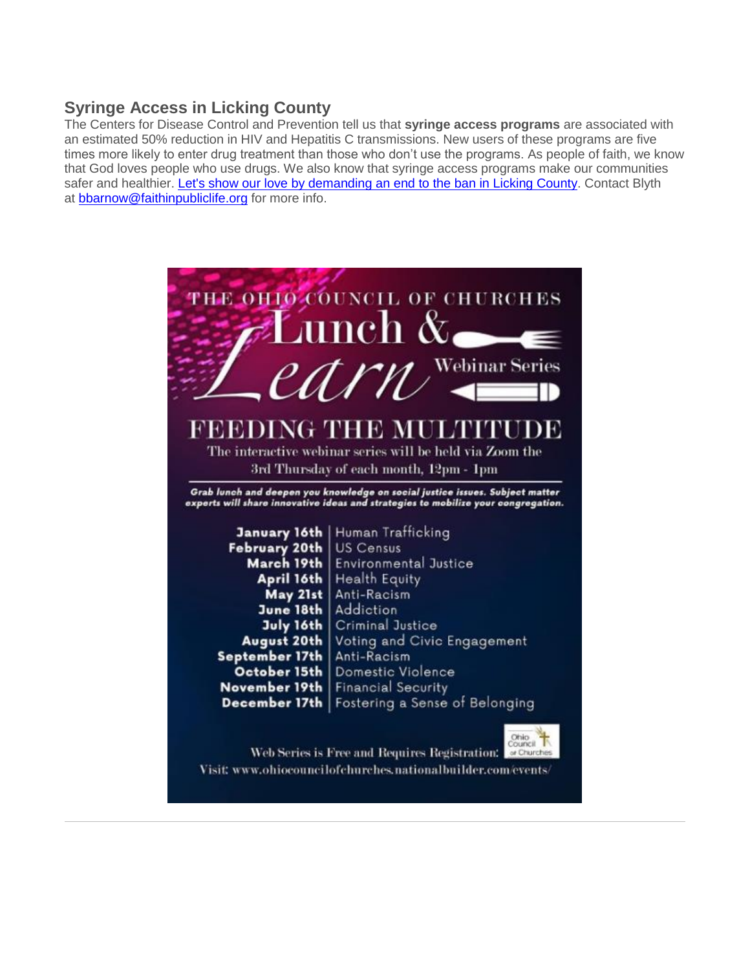### **Syringe Access in Licking County**

The Centers for Disease Control and Prevention tell us that **syringe access programs** are associated with an estimated 50% reduction in HIV and Hepatitis C transmissions. New users of these programs are five times more likely to enter drug treatment than those who don't use the programs. As people of faith, we know that God loves people who use drugs. We also know that syringe access programs make our communities safer and healthier. [Let's show our love by demanding an end to the ban in Licking County.](https://u1584542.ct.sendgrid.net/mps2/c/FwE/ni0YAA/t.31f/n1K8vLO2T-ikaXaTYAtwVg/h36/lxeVZlFoLh5Xwn-2B9v7rxs2c3A1Zq-2FIUHtdGLf-2F5v4Cfr0nL-2BAESGqzLXjFBhHRSWdkKtINVWw4T7ETAZKmfJt2AsR7ujr6LVQR9hl4Hhx3vtkJSm-2BX2wsfOoLFfAcFfp2-2FeJDU89o-2BB3Vz6EcPHnZY-2FRAkg5aJoO4LIyie4A0C2xYq9z7-2BDpG85VzJZk7OkuZIwwE2wgS-2BwBQV0WHRT8hd5QL9NF3cZwCYPAC0k4HJa4tuW1URk7rPXOjyX4YQncU-2FeDO-2BYqF6V-2BXwwnRA6f0ZEyNuyi8xCyOBnFtwyCowV9HHO8Yvw7vsDiMV-2Bx8hf-2B51yPQ5PWoWKB6x53z6-2BTjA8iRolq11pqNenVrrDsIWH-2BSF63nQIdM7gcIVW8GiRCYPofZhUc0Cy9BmuUUQZW7t8MqXtlJ6pXJuYJ-2BR74PYE-3D/U2a6) Contact Blyth at [bbarnow@faithinpubliclife.org](mailto:bbarnow@faithinpubliclife.org) for more info.